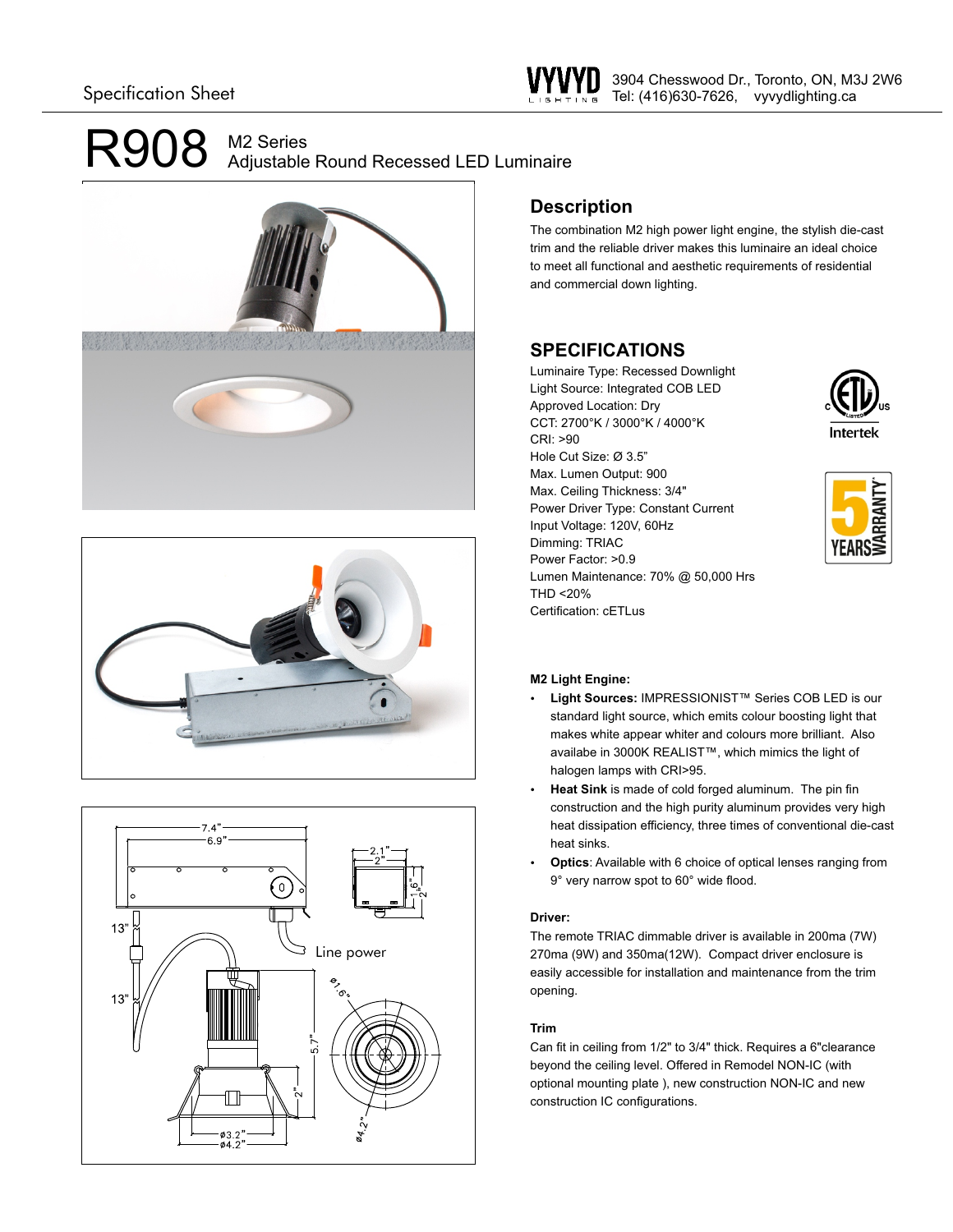# M2 Series Adjustable Round Recessed LED Luminaire







### **Description**

The combination M2 high power light engine, the stylish die-cast trim and the reliable driver makes this luminaire an ideal choice to meet all functional and aesthetic requirements of residential and commercial down lighting.

## **SPECIFICATIONS**

Luminaire Type: Recessed Downlight Light Source: Integrated COB LED Approved Location: Dry CCT: 2700°K / 3000°K / 4000°K CRI: >90 Hole Cut Size: Ø 3.5" Max. Lumen Output: 900 Max. Ceiling Thickness: 3/4" Power Driver Type: Constant Current Input Voltage: 120V, 60Hz Dimming: TRIAC Power Factor: >0.9 Lumen Maintenance: 70% @ 50,000 Hrs THD <20% Certification: cETLus





### **M2 Light Engine:**

- Ÿ **Light Sources:** IMPRESSIONIST™ Series COB LED is our standard light source, which emits colour boosting light that makes white appear whiter and colours more brilliant. Also availabe in 3000K REALIST™, which mimics the light of halogen lamps with CRI>95.
- Heat Sink is made of cold forged aluminum. The pin fin construction and the high purity aluminum provides very high heat dissipation efficiency, three times of conventional die-cast heat sinks.
- **Optics:** Available with 6 choice of optical lenses ranging from 9° very narrow spot to 60° wide flood.

### **Driver:**

The remote TRIAC dimmable driver is available in 200ma (7W) 270ma (9W) and 350ma(12W). Compact driver enclosure is easily accessible for installation and maintenance from the trim opening.

### **Trim**

Can fit in ceiling from 1/2" to 3/4" thick. Requires a 6"clearance beyond the ceiling level. Offered in Remodel NON-IC (with optional mounting plate ), new construction NON-IC and new construction IC configurations.